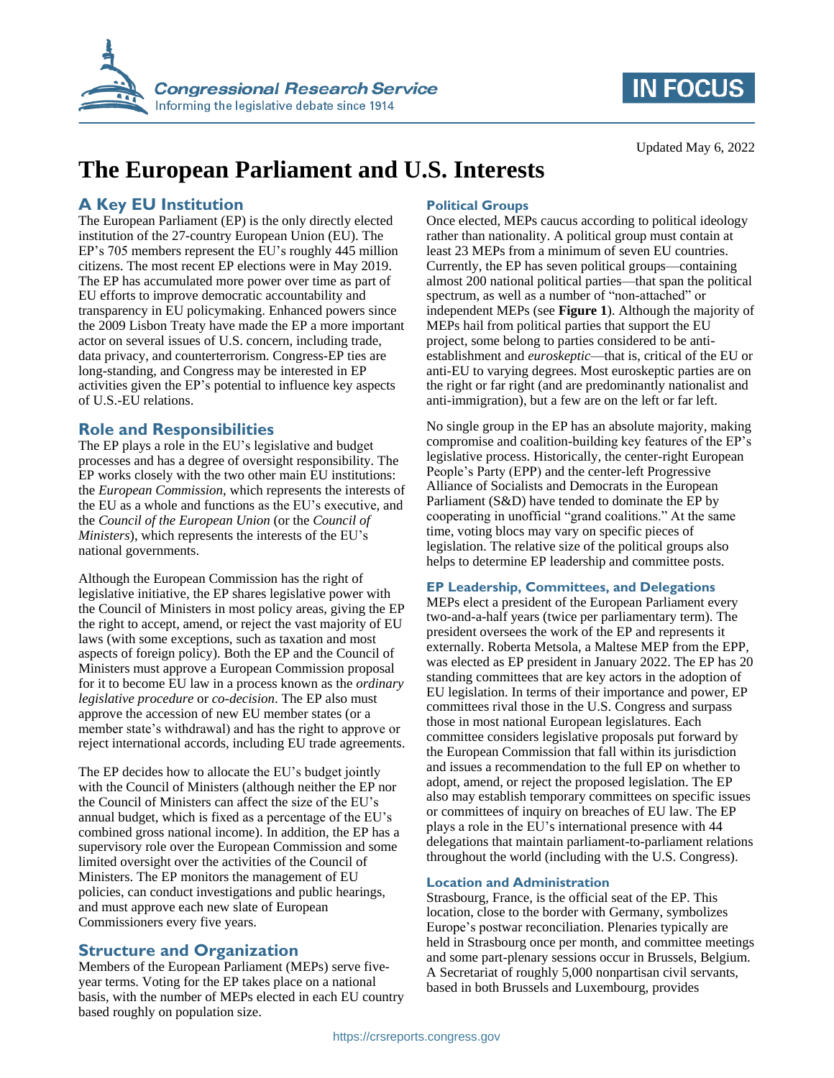

# **IN FOCUS**

# **The European Parliament and U.S. Interests**

### **A Key EU Institution**

The European Parliament (EP) is the only directly elected institution of the 27-country European Union (EU). The EP's 705 members represent the EU's roughly 445 million citizens. The most recent EP elections were in May 2019. The EP has accumulated more power over time as part of EU efforts to improve democratic accountability and transparency in EU policymaking. Enhanced powers since the 2009 Lisbon Treaty have made the EP a more important actor on several issues of U.S. concern, including trade, data privacy, and counterterrorism. Congress-EP ties are long-standing, and Congress may be interested in EP activities given the EP's potential to influence key aspects of U.S.-EU relations.

#### **Role and Responsibilities**

The EP plays a role in the EU's legislative and budget processes and has a degree of oversight responsibility. The EP works closely with the two other main EU institutions: the *European Commission*, which represents the interests of the EU as a whole and functions as the EU's executive, and the *Council of the European Union* (or the *Council of Ministers*), which represents the interests of the EU's national governments.

Although the European Commission has the right of legislative initiative, the EP shares legislative power with the Council of Ministers in most policy areas, giving the EP the right to accept, amend, or reject the vast majority of EU laws (with some exceptions, such as taxation and most aspects of foreign policy). Both the EP and the Council of Ministers must approve a European Commission proposal for it to become EU law in a process known as the *ordinary legislative procedure* or *co-decision*. The EP also must approve the accession of new EU member states (or a member state's withdrawal) and has the right to approve or reject international accords, including EU trade agreements.

The EP decides how to allocate the EU's budget jointly with the Council of Ministers (although neither the EP nor the Council of Ministers can affect the size of the EU's annual budget, which is fixed as a percentage of the EU's combined gross national income). In addition, the EP has a supervisory role over the European Commission and some limited oversight over the activities of the Council of Ministers. The EP monitors the management of EU policies, can conduct investigations and public hearings, and must approve each new slate of European Commissioners every five years.

### **Structure and Organization**

Members of the European Parliament (MEPs) serve fiveyear terms. Voting for the EP takes place on a national basis, with the number of MEPs elected in each EU country based roughly on population size.

#### **Political Groups**

Once elected, MEPs caucus according to political ideology rather than nationality. A political group must contain at least 23 MEPs from a minimum of seven EU countries. Currently, the EP has seven political groups—containing almost 200 national political parties—that span the political spectrum, as well as a number of "non-attached" or independent MEPs (see **[Figure 1](#page-1-0)**). Although the majority of MEPs hail from political parties that support the EU project, some belong to parties considered to be antiestablishment and *euroskeptic*—that is, critical of the EU or anti-EU to varying degrees. Most euroskeptic parties are on the right or far right (and are predominantly nationalist and anti-immigration), but a few are on the left or far left.

No single group in the EP has an absolute majority, making compromise and coalition-building key features of the EP's legislative process. Historically, the center-right European People's Party (EPP) and the center-left Progressive Alliance of Socialists and Democrats in the European Parliament (S&D) have tended to dominate the EP by cooperating in unofficial "grand coalitions." At the same time, voting blocs may vary on specific pieces of legislation. The relative size of the political groups also helps to determine EP leadership and committee posts.

#### **EP Leadership, Committees, and Delegations**

MEPs elect a president of the European Parliament every two-and-a-half years (twice per parliamentary term). The president oversees the work of the EP and represents it externally. Roberta Metsola, a Maltese MEP from the EPP, was elected as EP president in January 2022. The EP has 20 standing committees that are key actors in the adoption of EU legislation. In terms of their importance and power, EP committees rival those in the U.S. Congress and surpass those in most national European legislatures. Each committee considers legislative proposals put forward by the European Commission that fall within its jurisdiction and issues a recommendation to the full EP on whether to adopt, amend, or reject the proposed legislation. The EP also may establish temporary committees on specific issues or committees of inquiry on breaches of EU law. The EP plays a role in the EU's international presence with 44 delegations that maintain parliament-to-parliament relations throughout the world (including with the U.S. Congress).

#### **Location and Administration**

Strasbourg, France, is the official seat of the EP. This location, close to the border with Germany, symbolizes Europe's postwar reconciliation. Plenaries typically are held in Strasbourg once per month, and committee meetings and some part-plenary sessions occur in Brussels, Belgium. A Secretariat of roughly 5,000 nonpartisan civil servants, based in both Brussels and Luxembourg, provides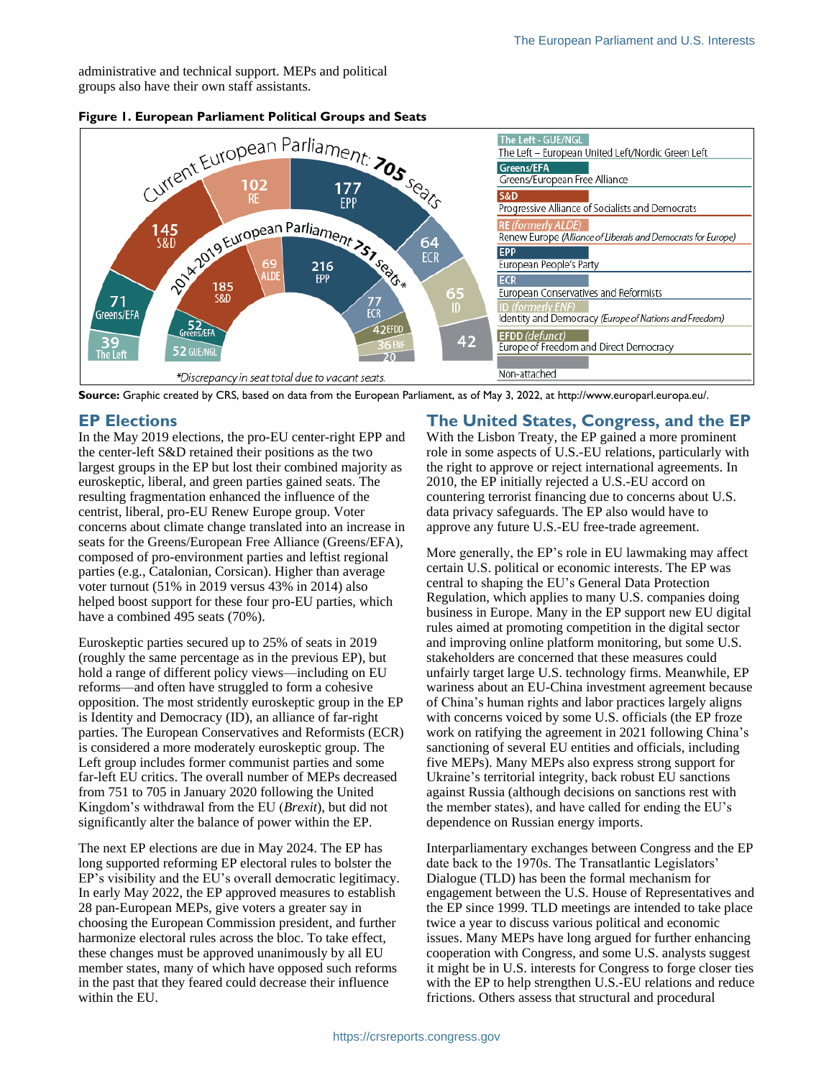administrative and technical support. MEPs and political groups also have their own staff assistants.



#### <span id="page-1-0"></span>**Figure 1. European Parliament Political Groups and Seats**

**Source:** Graphic created by CRS, based on data from the European Parliament, as of May 3, 2022, at http://www.europarl.europa.eu/.

#### **EP Elections**

In the May 2019 elections, the pro-EU center-right EPP and the center-left S&D retained their positions as the two largest groups in the EP but lost their combined majority as euroskeptic, liberal, and green parties gained seats. The resulting fragmentation enhanced the influence of the centrist, liberal, pro-EU Renew Europe group. Voter concerns about climate change translated into an increase in seats for the Greens/European Free Alliance (Greens/EFA), composed of pro-environment parties and leftist regional parties (e.g., Catalonian, Corsican). Higher than average voter turnout (51% in 2019 versus 43% in 2014) also helped boost support for these four pro-EU parties, which have a combined 495 seats (70%).

Euroskeptic parties secured up to 25% of seats in 2019 (roughly the same percentage as in the previous EP), but hold a range of different policy views—including on EU reforms—and often have struggled to form a cohesive opposition. The most stridently euroskeptic group in the EP is Identity and Democracy (ID), an alliance of far-right parties. The European Conservatives and Reformists (ECR) is considered a more moderately euroskeptic group. The Left group includes former communist parties and some far-left EU critics. The overall number of MEPs decreased from 751 to 705 in January 2020 following the United Kingdom's withdrawal from the EU (*Brexit*), but did not significantly alter the balance of power within the EP.

The next EP elections are due in May 2024. The EP has long supported reforming EP electoral rules to bolster the EP's visibility and the EU's overall democratic legitimacy. In early May 2022, the EP approved measures to establish 28 pan-European MEPs, give voters a greater say in choosing the European Commission president, and further harmonize electoral rules across the bloc. To take effect, these changes must be approved unanimously by all EU member states, many of which have opposed such reforms in the past that they feared could decrease their influence within the EU.

#### **The United States, Congress, and the EP**

With the Lisbon Treaty, the EP gained a more prominent role in some aspects of U.S.-EU relations, particularly with the right to approve or reject international agreements. In 2010, the EP initially rejected a U.S.-EU accord on countering terrorist financing due to concerns about U.S. data privacy safeguards. The EP also would have to approve any future U.S.-EU free-trade agreement.

More generally, the EP's role in EU lawmaking may affect certain U.S. political or economic interests. The EP was central to shaping the EU's General Data Protection Regulation, which applies to many U.S. companies doing business in Europe. Many in the EP support new EU digital rules aimed at promoting competition in the digital sector and improving online platform monitoring, but some U.S. stakeholders are concerned that these measures could unfairly target large U.S. technology firms. Meanwhile, EP wariness about an EU-China investment agreement because of China's human rights and labor practices largely aligns with concerns voiced by some U.S. officials (the EP froze work on ratifying the agreement in 2021 following China's sanctioning of several EU entities and officials, including five MEPs). Many MEPs also express strong support for Ukraine's territorial integrity, back robust EU sanctions against Russia (although decisions on sanctions rest with the member states), and have called for ending the EU's dependence on Russian energy imports.

Interparliamentary exchanges between Congress and the EP date back to the 1970s. The Transatlantic Legislators' Dialogue (TLD) has been the formal mechanism for engagement between the U.S. House of Representatives and the EP since 1999. TLD meetings are intended to take place twice a year to discuss various political and economic issues. Many MEPs have long argued for further enhancing cooperation with Congress, and some U.S. analysts suggest it might be in U.S. interests for Congress to forge closer ties with the EP to help strengthen U.S.-EU relations and reduce frictions. Others assess that structural and procedural